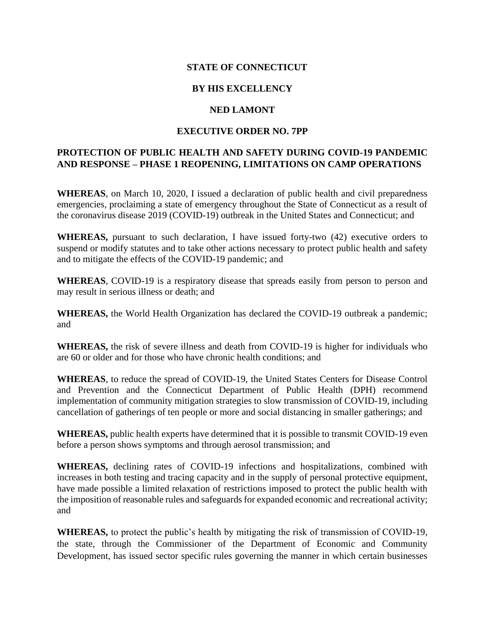## **STATE OF CONNECTICUT**

## **BY HIS EXCELLENCY**

#### **NED LAMONT**

### **EXECUTIVE ORDER NO. 7PP**

# **PROTECTION OF PUBLIC HEALTH AND SAFETY DURING COVID-19 PANDEMIC AND RESPONSE – PHASE 1 REOPENING, LIMITATIONS ON CAMP OPERATIONS**

**WHEREAS**, on March 10, 2020, I issued a declaration of public health and civil preparedness emergencies, proclaiming a state of emergency throughout the State of Connecticut as a result of the coronavirus disease 2019 (COVID-19) outbreak in the United States and Connecticut; and

**WHEREAS,** pursuant to such declaration, I have issued forty-two (42) executive orders to suspend or modify statutes and to take other actions necessary to protect public health and safety and to mitigate the effects of the COVID-19 pandemic; and

**WHEREAS**, COVID-19 is a respiratory disease that spreads easily from person to person and may result in serious illness or death; and

**WHEREAS,** the World Health Organization has declared the COVID-19 outbreak a pandemic; and

**WHEREAS,** the risk of severe illness and death from COVID-19 is higher for individuals who are 60 or older and for those who have chronic health conditions; and

**WHEREAS**, to reduce the spread of COVID-19, the United States Centers for Disease Control and Prevention and the Connecticut Department of Public Health (DPH) recommend implementation of community mitigation strategies to slow transmission of COVID-19, including cancellation of gatherings of ten people or more and social distancing in smaller gatherings; and

**WHEREAS,** public health experts have determined that it is possible to transmit COVID-19 even before a person shows symptoms and through aerosol transmission; and

**WHEREAS,** declining rates of COVID-19 infections and hospitalizations, combined with increases in both testing and tracing capacity and in the supply of personal protective equipment, have made possible a limited relaxation of restrictions imposed to protect the public health with the imposition of reasonable rules and safeguards for expanded economic and recreational activity; and

**WHEREAS,** to protect the public's health by mitigating the risk of transmission of COVID-19, the state, through the Commissioner of the Department of Economic and Community Development, has issued sector specific rules governing the manner in which certain businesses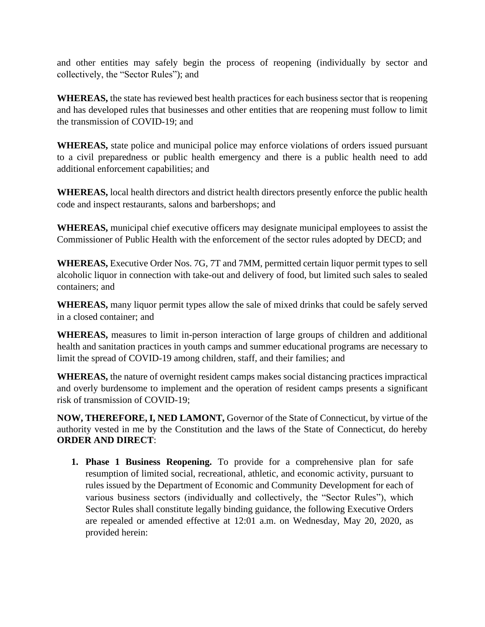and other entities may safely begin the process of reopening (individually by sector and collectively, the "Sector Rules"); and

**WHEREAS,** the state has reviewed best health practices for each business sector that is reopening and has developed rules that businesses and other entities that are reopening must follow to limit the transmission of COVID-19; and

**WHEREAS,** state police and municipal police may enforce violations of orders issued pursuant to a civil preparedness or public health emergency and there is a public health need to add additional enforcement capabilities; and

**WHEREAS,** local health directors and district health directors presently enforce the public health code and inspect restaurants, salons and barbershops; and

**WHEREAS,** municipal chief executive officers may designate municipal employees to assist the Commissioner of Public Health with the enforcement of the sector rules adopted by DECD; and

**WHEREAS,** Executive Order Nos. 7G, 7T and 7MM, permitted certain liquor permit types to sell alcoholic liquor in connection with take-out and delivery of food, but limited such sales to sealed containers; and

**WHEREAS,** many liquor permit types allow the sale of mixed drinks that could be safely served in a closed container; and

**WHEREAS,** measures to limit in-person interaction of large groups of children and additional health and sanitation practices in youth camps and summer educational programs are necessary to limit the spread of COVID-19 among children, staff, and their families; and

**WHEREAS,** the nature of overnight resident camps makes social distancing practices impractical and overly burdensome to implement and the operation of resident camps presents a significant risk of transmission of COVID-19;

**NOW, THEREFORE, I, NED LAMONT,** Governor of the State of Connecticut, by virtue of the authority vested in me by the Constitution and the laws of the State of Connecticut, do hereby **ORDER AND DIRECT**:

**1. Phase 1 Business Reopening.** To provide for a comprehensive plan for safe resumption of limited social, recreational, athletic, and economic activity, pursuant to rules issued by the Department of Economic and Community Development for each of various business sectors (individually and collectively, the "Sector Rules"), which Sector Rules shall constitute legally binding guidance, the following Executive Orders are repealed or amended effective at 12:01 a.m. on Wednesday, May 20, 2020, as provided herein: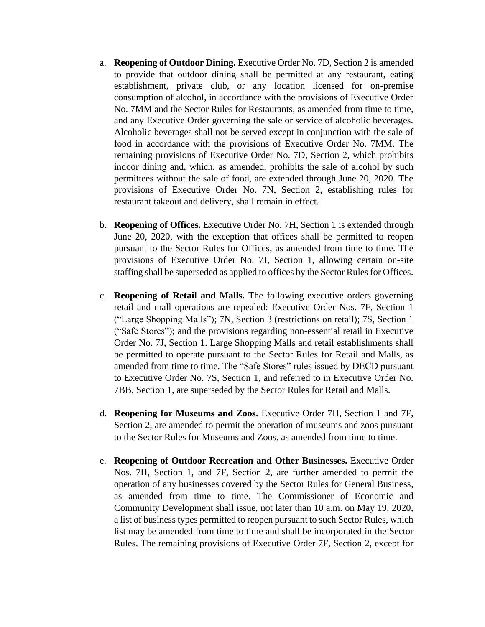- a. **Reopening of Outdoor Dining.** Executive Order No. 7D, Section 2 is amended to provide that outdoor dining shall be permitted at any restaurant, eating establishment, private club, or any location licensed for on-premise consumption of alcohol, in accordance with the provisions of Executive Order No. 7MM and the Sector Rules for Restaurants, as amended from time to time, and any Executive Order governing the sale or service of alcoholic beverages. Alcoholic beverages shall not be served except in conjunction with the sale of food in accordance with the provisions of Executive Order No. 7MM. The remaining provisions of Executive Order No. 7D, Section 2, which prohibits indoor dining and, which, as amended, prohibits the sale of alcohol by such permittees without the sale of food, are extended through June 20, 2020. The provisions of Executive Order No. 7N, Section 2, establishing rules for restaurant takeout and delivery, shall remain in effect.
- b. **Reopening of Offices.** Executive Order No. 7H, Section 1 is extended through June 20, 2020, with the exception that offices shall be permitted to reopen pursuant to the Sector Rules for Offices, as amended from time to time. The provisions of Executive Order No. 7J, Section 1, allowing certain on-site staffing shall be superseded as applied to offices by the Sector Rules for Offices.
- c. **Reopening of Retail and Malls.** The following executive orders governing retail and mall operations are repealed: Executive Order Nos. 7F, Section 1 ("Large Shopping Malls"); 7N, Section 3 (restrictions on retail); 7S, Section 1 ("Safe Stores"); and the provisions regarding non-essential retail in Executive Order No. 7J, Section 1. Large Shopping Malls and retail establishments shall be permitted to operate pursuant to the Sector Rules for Retail and Malls, as amended from time to time. The "Safe Stores" rules issued by DECD pursuant to Executive Order No. 7S, Section 1, and referred to in Executive Order No. 7BB, Section 1, are superseded by the Sector Rules for Retail and Malls.
- d. **Reopening for Museums and Zoos.** Executive Order 7H, Section 1 and 7F, Section 2, are amended to permit the operation of museums and zoos pursuant to the Sector Rules for Museums and Zoos, as amended from time to time.
- e. **Reopening of Outdoor Recreation and Other Businesses.** Executive Order Nos. 7H, Section 1, and 7F, Section 2, are further amended to permit the operation of any businesses covered by the Sector Rules for General Business, as amended from time to time. The Commissioner of Economic and Community Development shall issue, not later than 10 a.m. on May 19, 2020, a list of business types permitted to reopen pursuant to such Sector Rules, which list may be amended from time to time and shall be incorporated in the Sector Rules. The remaining provisions of Executive Order 7F, Section 2, except for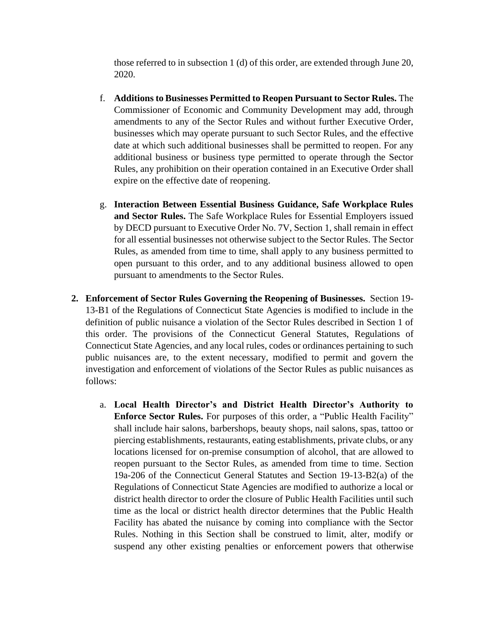those referred to in subsection 1 (d) of this order, are extended through June 20, 2020.

- f. **Additions to Businesses Permitted to Reopen Pursuant to Sector Rules.** The Commissioner of Economic and Community Development may add, through amendments to any of the Sector Rules and without further Executive Order, businesses which may operate pursuant to such Sector Rules, and the effective date at which such additional businesses shall be permitted to reopen. For any additional business or business type permitted to operate through the Sector Rules, any prohibition on their operation contained in an Executive Order shall expire on the effective date of reopening.
- g. **Interaction Between Essential Business Guidance, Safe Workplace Rules and Sector Rules.** The Safe Workplace Rules for Essential Employers issued by DECD pursuant to Executive Order No. 7V, Section 1, shall remain in effect for all essential businesses not otherwise subject to the Sector Rules. The Sector Rules, as amended from time to time, shall apply to any business permitted to open pursuant to this order, and to any additional business allowed to open pursuant to amendments to the Sector Rules.
- **2. Enforcement of Sector Rules Governing the Reopening of Businesses.** Section 19- 13-B1 of the Regulations of Connecticut State Agencies is modified to include in the definition of public nuisance a violation of the Sector Rules described in Section 1 of this order. The provisions of the Connecticut General Statutes, Regulations of Connecticut State Agencies, and any local rules, codes or ordinances pertaining to such public nuisances are, to the extent necessary, modified to permit and govern the investigation and enforcement of violations of the Sector Rules as public nuisances as follows:
	- a. **Local Health Director's and District Health Director's Authority to Enforce Sector Rules.** For purposes of this order, a "Public Health Facility" shall include hair salons, barbershops, beauty shops, nail salons, spas, tattoo or piercing establishments, restaurants, eating establishments, private clubs, or any locations licensed for on-premise consumption of alcohol, that are allowed to reopen pursuant to the Sector Rules, as amended from time to time. Section 19a-206 of the Connecticut General Statutes and Section 19-13-B2(a) of the Regulations of Connecticut State Agencies are modified to authorize a local or district health director to order the closure of Public Health Facilities until such time as the local or district health director determines that the Public Health Facility has abated the nuisance by coming into compliance with the Sector Rules. Nothing in this Section shall be construed to limit, alter, modify or suspend any other existing penalties or enforcement powers that otherwise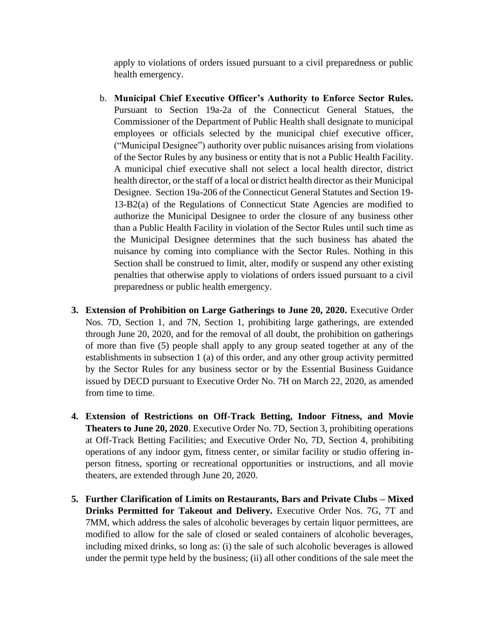apply to violations of orders issued pursuant to a civil preparedness or public health emergency.

- b. **Municipal Chief Executive Officer's Authority to Enforce Sector Rules.** Pursuant to Section 19a-2a of the Connecticut General Statues, the Commissioner of the Department of Public Health shall designate to municipal employees or officials selected by the municipal chief executive officer, ("Municipal Designee") authority over public nuisances arising from violations of the Sector Rules by any business or entity that is not a Public Health Facility. A municipal chief executive shall not select a local health director, district health director, or the staff of a local or district health director as their Municipal Designee. Section 19a-206 of the Connecticut General Statutes and Section 19- 13-B2(a) of the Regulations of Connecticut State Agencies are modified to authorize the Municipal Designee to order the closure of any business other than a Public Health Facility in violation of the Sector Rules until such time as the Municipal Designee determines that the such business has abated the nuisance by coming into compliance with the Sector Rules. Nothing in this Section shall be construed to limit, alter, modify or suspend any other existing penalties that otherwise apply to violations of orders issued pursuant to a civil preparedness or public health emergency.
- **3. Extension of Prohibition on Large Gatherings to June 20, 2020.** Executive Order Nos. 7D, Section 1, and 7N, Section 1, prohibiting large gatherings, are extended through June 20, 2020, and for the removal of all doubt, the prohibition on gatherings of more than five (5) people shall apply to any group seated together at any of the establishments in subsection 1 (a) of this order, and any other group activity permitted by the Sector Rules for any business sector or by the Essential Business Guidance issued by DECD pursuant to Executive Order No. 7H on March 22, 2020, as amended from time to time.
- **4. Extension of Restrictions on Off-Track Betting, Indoor Fitness, and Movie Theaters to June 20, 2020**. Executive Order No. 7D, Section 3, prohibiting operations at Off-Track Betting Facilities; and Executive Order No, 7D, Section 4, prohibiting operations of any indoor gym, fitness center, or similar facility or studio offering inperson fitness, sporting or recreational opportunities or instructions, and all movie theaters, are extended through June 20, 2020.
- **5. Further Clarification of Limits on Restaurants, Bars and Private Clubs – Mixed Drinks Permitted for Takeout and Delivery.** Executive Order Nos. 7G, 7T and 7MM, which address the sales of alcoholic beverages by certain liquor permittees, are modified to allow for the sale of closed or sealed containers of alcoholic beverages, including mixed drinks, so long as: (i) the sale of such alcoholic beverages is allowed under the permit type held by the business; (ii) all other conditions of the sale meet the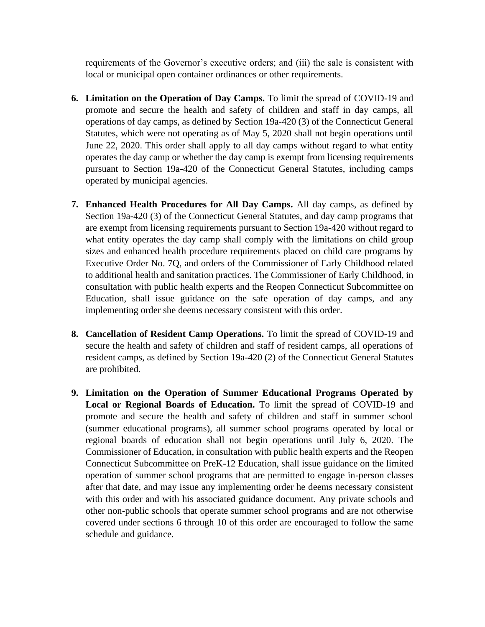requirements of the Governor's executive orders; and (iii) the sale is consistent with local or municipal open container ordinances or other requirements.

- **6. Limitation on the Operation of Day Camps.** To limit the spread of COVID-19 and promote and secure the health and safety of children and staff in day camps, all operations of day camps, as defined by Section 19a-420 (3) of the Connecticut General Statutes, which were not operating as of May 5, 2020 shall not begin operations until June 22, 2020. This order shall apply to all day camps without regard to what entity operates the day camp or whether the day camp is exempt from licensing requirements pursuant to Section 19a-420 of the Connecticut General Statutes, including camps operated by municipal agencies.
- **7. Enhanced Health Procedures for All Day Camps.** All day camps, as defined by Section 19a-420 (3) of the Connecticut General Statutes, and day camp programs that are exempt from licensing requirements pursuant to Section 19a-420 without regard to what entity operates the day camp shall comply with the limitations on child group sizes and enhanced health procedure requirements placed on child care programs by Executive Order No. 7Q, and orders of the Commissioner of Early Childhood related to additional health and sanitation practices. The Commissioner of Early Childhood, in consultation with public health experts and the Reopen Connecticut Subcommittee on Education, shall issue guidance on the safe operation of day camps, and any implementing order she deems necessary consistent with this order.
- **8. Cancellation of Resident Camp Operations.** To limit the spread of COVID-19 and secure the health and safety of children and staff of resident camps, all operations of resident camps, as defined by Section 19a-420 (2) of the Connecticut General Statutes are prohibited.
- **9. Limitation on the Operation of Summer Educational Programs Operated by Local or Regional Boards of Education.** To limit the spread of COVID-19 and promote and secure the health and safety of children and staff in summer school (summer educational programs), all summer school programs operated by local or regional boards of education shall not begin operations until July 6, 2020. The Commissioner of Education, in consultation with public health experts and the Reopen Connecticut Subcommittee on PreK-12 Education, shall issue guidance on the limited operation of summer school programs that are permitted to engage in-person classes after that date, and may issue any implementing order he deems necessary consistent with this order and with his associated guidance document. Any private schools and other non-public schools that operate summer school programs and are not otherwise covered under sections 6 through 10 of this order are encouraged to follow the same schedule and guidance.